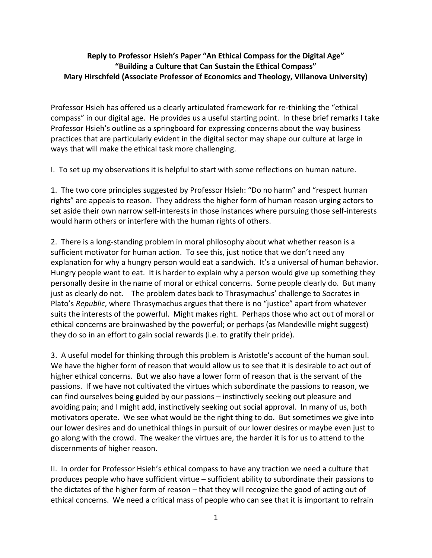## **Reply to Professor Hsieh's Paper "An Ethical Compass for the Digital Age" "Building a Culture that Can Sustain the Ethical Compass" Mary Hirschfeld (Associate Professor of Economics and Theology, Villanova University)**

Professor Hsieh has offered us a clearly articulated framework for re-thinking the "ethical compass" in our digital age. He provides us a useful starting point. In these brief remarks I take Professor Hsieh's outline as a springboard for expressing concerns about the way business practices that are particularly evident in the digital sector may shape our culture at large in ways that will make the ethical task more challenging.

I. To set up my observations it is helpful to start with some reflections on human nature.

1. The two core principles suggested by Professor Hsieh: "Do no harm" and "respect human rights" are appeals to reason. They address the higher form of human reason urging actors to set aside their own narrow self-interests in those instances where pursuing those self-interests would harm others or interfere with the human rights of others.

2. There is a long-standing problem in moral philosophy about what whether reason is a sufficient motivator for human action. To see this, just notice that we don't need any explanation for why a hungry person would eat a sandwich. It's a universal of human behavior. Hungry people want to eat. It is harder to explain why a person would give up something they personally desire in the name of moral or ethical concerns. Some people clearly do. But many just as clearly do not. The problem dates back to Thrasymachus' challenge to Socrates in Plato's *Republic*, where Thrasymachus argues that there is no "justice" apart from whatever suits the interests of the powerful. Might makes right. Perhaps those who act out of moral or ethical concerns are brainwashed by the powerful; or perhaps (as Mandeville might suggest) they do so in an effort to gain social rewards (i.e. to gratify their pride).

3. A useful model for thinking through this problem is Aristotle's account of the human soul. We have the higher form of reason that would allow us to see that it is desirable to act out of higher ethical concerns. But we also have a lower form of reason that is the servant of the passions. If we have not cultivated the virtues which subordinate the passions to reason, we can find ourselves being guided by our passions – instinctively seeking out pleasure and avoiding pain; and I might add, instinctively seeking out social approval. In many of us, both motivators operate. We see what would be the right thing to do. But sometimes we give into our lower desires and do unethical things in pursuit of our lower desires or maybe even just to go along with the crowd. The weaker the virtues are, the harder it is for us to attend to the discernments of higher reason.

II. In order for Professor Hsieh's ethical compass to have any traction we need a culture that produces people who have sufficient virtue – sufficient ability to subordinate their passions to the dictates of the higher form of reason – that they will recognize the good of acting out of ethical concerns. We need a critical mass of people who can see that it is important to refrain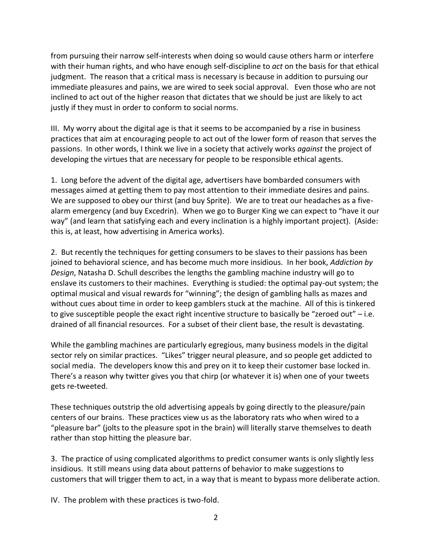from pursuing their narrow self-interests when doing so would cause others harm or interfere with their human rights, and who have enough self-discipline to *act* on the basis for that ethical judgment. The reason that a critical mass is necessary is because in addition to pursuing our immediate pleasures and pains, we are wired to seek social approval. Even those who are not inclined to act out of the higher reason that dictates that we should be just are likely to act justly if they must in order to conform to social norms.

III. My worry about the digital age is that it seems to be accompanied by a rise in business practices that aim at encouraging people to act out of the lower form of reason that serves the passions. In other words, I think we live in a society that actively works *against* the project of developing the virtues that are necessary for people to be responsible ethical agents.

1. Long before the advent of the digital age, advertisers have bombarded consumers with messages aimed at getting them to pay most attention to their immediate desires and pains. We are supposed to obey our thirst (and buy Sprite). We are to treat our headaches as a fivealarm emergency (and buy Excedrin). When we go to Burger King we can expect to "have it our way" (and learn that satisfying each and every inclination is a highly important project). (Aside: this is, at least, how advertising in America works).

2. But recently the techniques for getting consumers to be slaves to their passions has been joined to behavioral science, and has become much more insidious. In her book, *Addiction by Design*, Natasha D. Schull describes the lengths the gambling machine industry will go to enslave its customers to their machines. Everything is studied: the optimal pay-out system; the optimal musical and visual rewards for "winning"; the design of gambling halls as mazes and without cues about time in order to keep gamblers stuck at the machine. All of this is tinkered to give susceptible people the exact right incentive structure to basically be "zeroed out" – i.e. drained of all financial resources. For a subset of their client base, the result is devastating.

While the gambling machines are particularly egregious, many business models in the digital sector rely on similar practices. "Likes" trigger neural pleasure, and so people get addicted to social media. The developers know this and prey on it to keep their customer base locked in. There's a reason why twitter gives you that chirp (or whatever it is) when one of your tweets gets re-tweeted.

These techniques outstrip the old advertising appeals by going directly to the pleasure/pain centers of our brains. These practices view us as the laboratory rats who when wired to a "pleasure bar" (jolts to the pleasure spot in the brain) will literally starve themselves to death rather than stop hitting the pleasure bar.

3. The practice of using complicated algorithms to predict consumer wants is only slightly less insidious. It still means using data about patterns of behavior to make suggestions to customers that will trigger them to act, in a way that is meant to bypass more deliberate action.

IV. The problem with these practices is two-fold.